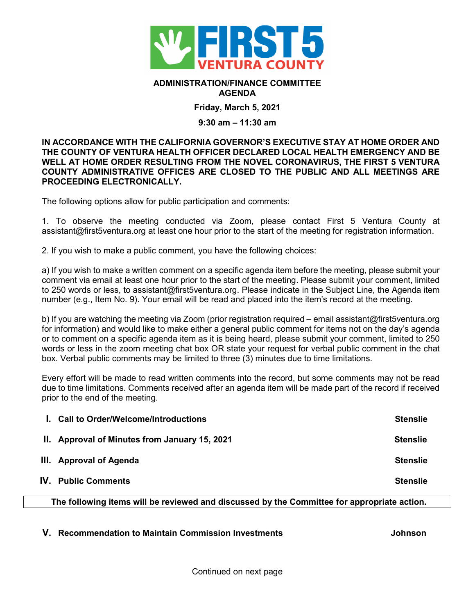

## **ADMINISTRATION/FINANCE COMMITTEE AGENDA**

**Friday, March 5, 2021**

## **9:30 am – 11:30 am**

## **IN ACCORDANCE WITH THE CALIFORNIA GOVERNOR'S EXECUTIVE STAY AT HOME ORDER AND THE COUNTY OF VENTURA HEALTH OFFICER DECLARED LOCAL HEALTH EMERGENCY AND BE WELL AT HOME ORDER RESULTING FROM THE NOVEL CORONAVIRUS, THE FIRST 5 VENTURA COUNTY ADMINISTRATIVE OFFICES ARE CLOSED TO THE PUBLIC AND ALL MEETINGS ARE PROCEEDING ELECTRONICALLY.**

The following options allow for public participation and comments:

1. To observe the meeting conducted via Zoom, please contact First 5 Ventura County at assistant@first5ventura.org at least one hour prior to the start of the meeting for registration information.

2. If you wish to make a public comment, you have the following choices:

a) If you wish to make a written comment on a specific agenda item before the meeting, please submit your comment via email at least one hour prior to the start of the meeting. Please submit your comment, limited to 250 words or less, to assistant@first5ventura.org. Please indicate in the Subject Line, the Agenda item number (e.g., Item No. 9). Your email will be read and placed into the item's record at the meeting.

b) If you are watching the meeting via Zoom (prior registration required – email assistant@first5ventura.org for information) and would like to make either a general public comment for items not on the day's agenda or to comment on a specific agenda item as it is being heard, please submit your comment, limited to 250 words or less in the zoom meeting chat box OR state your request for verbal public comment in the chat box. Verbal public comments may be limited to three (3) minutes due to time limitations.

Every effort will be made to read written comments into the record, but some comments may not be read due to time limitations. Comments received after an agenda item will be made part of the record if received prior to the end of the meeting.

| <b>Stenslie</b> |
|-----------------|
| <b>Stenslie</b> |
| <b>Stenslie</b> |
| <b>Stenslie</b> |
|                 |

**The following items will be reviewed and discussed by the Committee for appropriate action.**

**V. Recommendation to Maintain Commission Investments Johnson**